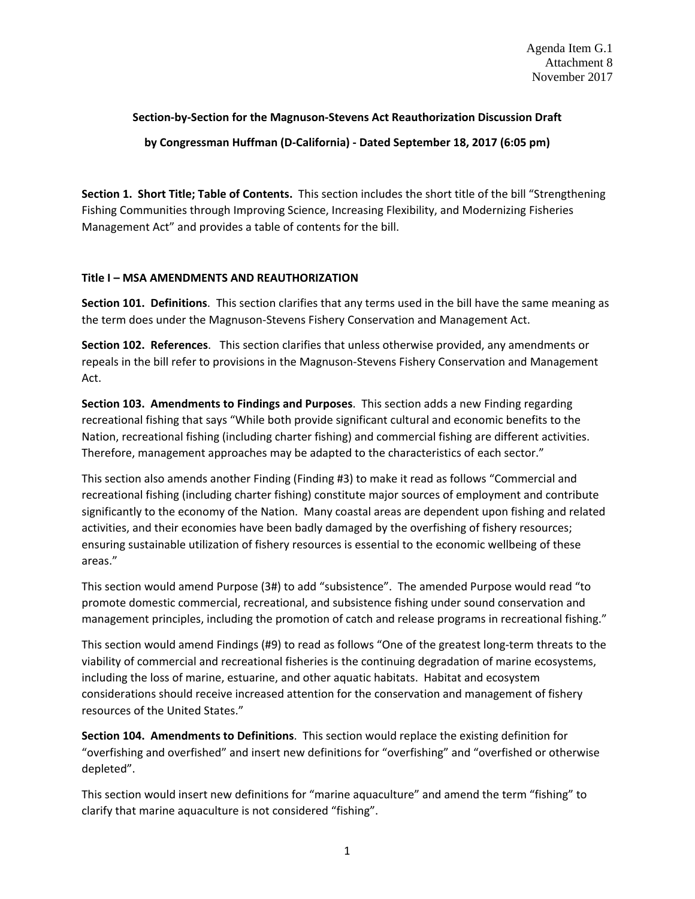#### **Section-by-Section for the Magnuson-Stevens Act Reauthorization Discussion Draft**

**by Congressman Huffman (D-California) - Dated September 18, 2017 (6:05 pm)** 

**Section 1. Short Title; Table of Contents.** This section includes the short title of the bill "Strengthening Fishing Communities through Improving Science, Increasing Flexibility, and Modernizing Fisheries Management Act" and provides a table of contents for the bill.

#### **Title I – MSA AMENDMENTS AND REAUTHORIZATION**

**Section 101. Definitions**. This section clarifies that any terms used in the bill have the same meaning as the term does under the Magnuson-Stevens Fishery Conservation and Management Act.

**Section 102. References**. This section clarifies that unless otherwise provided, any amendments or repeals in the bill refer to provisions in the Magnuson-Stevens Fishery Conservation and Management Act.

**Section 103. Amendments to Findings and Purposes**. This section adds a new Finding regarding recreational fishing that says "While both provide significant cultural and economic benefits to the Nation, recreational fishing (including charter fishing) and commercial fishing are different activities. Therefore, management approaches may be adapted to the characteristics of each sector."

This section also amends another Finding (Finding #3) to make it read as follows "Commercial and recreational fishing (including charter fishing) constitute major sources of employment and contribute significantly to the economy of the Nation. Many coastal areas are dependent upon fishing and related activities, and their economies have been badly damaged by the overfishing of fishery resources; ensuring sustainable utilization of fishery resources is essential to the economic wellbeing of these areas."

This section would amend Purpose (3#) to add "subsistence". The amended Purpose would read "to promote domestic commercial, recreational, and subsistence fishing under sound conservation and management principles, including the promotion of catch and release programs in recreational fishing."

This section would amend Findings (#9) to read as follows "One of the greatest long-term threats to the viability of commercial and recreational fisheries is the continuing degradation of marine ecosystems, including the loss of marine, estuarine, and other aquatic habitats. Habitat and ecosystem considerations should receive increased attention for the conservation and management of fishery resources of the United States."

**Section 104. Amendments to Definitions**. This section would replace the existing definition for "overfishing and overfished" and insert new definitions for "overfishing" and "overfished or otherwise depleted".

This section would insert new definitions for "marine aquaculture" and amend the term "fishing" to clarify that marine aquaculture is not considered "fishing".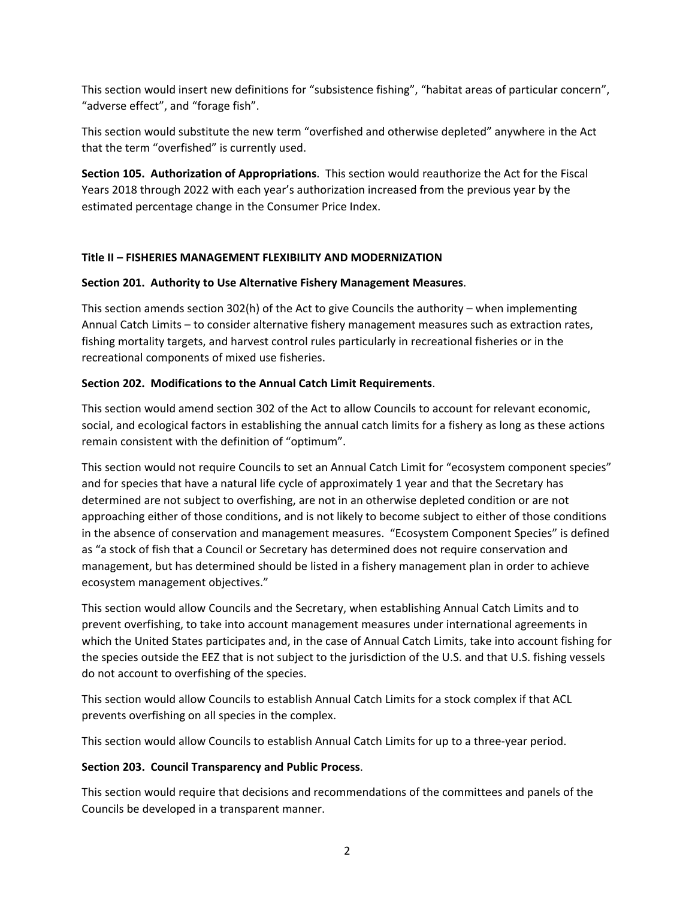This section would insert new definitions for "subsistence fishing", "habitat areas of particular concern", "adverse effect", and "forage fish".

This section would substitute the new term "overfished and otherwise depleted" anywhere in the Act that the term "overfished" is currently used.

**Section 105. Authorization of Appropriations**. This section would reauthorize the Act for the Fiscal Years 2018 through 2022 with each year's authorization increased from the previous year by the estimated percentage change in the Consumer Price Index.

# **Title II – FISHERIES MANAGEMENT FLEXIBILITY AND MODERNIZATION**

# **Section 201. Authority to Use Alternative Fishery Management Measures**.

This section amends section 302(h) of the Act to give Councils the authority – when implementing Annual Catch Limits – to consider alternative fishery management measures such as extraction rates, fishing mortality targets, and harvest control rules particularly in recreational fisheries or in the recreational components of mixed use fisheries.

# **Section 202. Modifications to the Annual Catch Limit Requirements**.

This section would amend section 302 of the Act to allow Councils to account for relevant economic, social, and ecological factors in establishing the annual catch limits for a fishery as long as these actions remain consistent with the definition of "optimum".

This section would not require Councils to set an Annual Catch Limit for "ecosystem component species" and for species that have a natural life cycle of approximately 1 year and that the Secretary has determined are not subject to overfishing, are not in an otherwise depleted condition or are not approaching either of those conditions, and is not likely to become subject to either of those conditions in the absence of conservation and management measures. "Ecosystem Component Species" is defined as "a stock of fish that a Council or Secretary has determined does not require conservation and management, but has determined should be listed in a fishery management plan in order to achieve ecosystem management objectives."

This section would allow Councils and the Secretary, when establishing Annual Catch Limits and to prevent overfishing, to take into account management measures under international agreements in which the United States participates and, in the case of Annual Catch Limits, take into account fishing for the species outside the EEZ that is not subject to the jurisdiction of the U.S. and that U.S. fishing vessels do not account to overfishing of the species.

This section would allow Councils to establish Annual Catch Limits for a stock complex if that ACL prevents overfishing on all species in the complex.

This section would allow Councils to establish Annual Catch Limits for up to a three-year period.

# **Section 203. Council Transparency and Public Process**.

This section would require that decisions and recommendations of the committees and panels of the Councils be developed in a transparent manner.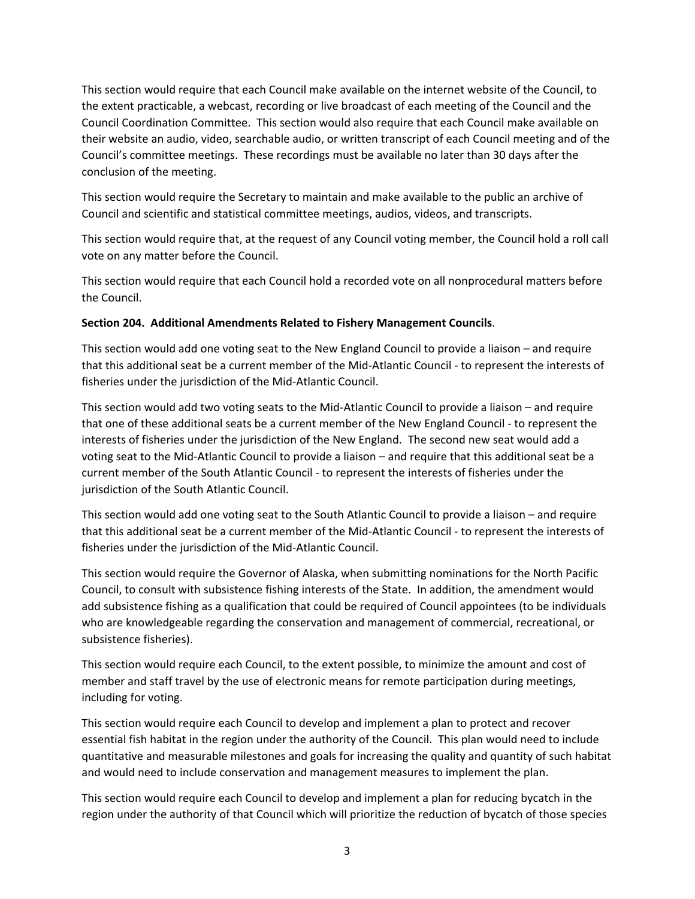This section would require that each Council make available on the internet website of the Council, to the extent practicable, a webcast, recording or live broadcast of each meeting of the Council and the Council Coordination Committee. This section would also require that each Council make available on their website an audio, video, searchable audio, or written transcript of each Council meeting and of the Council's committee meetings. These recordings must be available no later than 30 days after the conclusion of the meeting.

This section would require the Secretary to maintain and make available to the public an archive of Council and scientific and statistical committee meetings, audios, videos, and transcripts.

This section would require that, at the request of any Council voting member, the Council hold a roll call vote on any matter before the Council.

This section would require that each Council hold a recorded vote on all nonprocedural matters before the Council.

#### **Section 204. Additional Amendments Related to Fishery Management Councils**.

This section would add one voting seat to the New England Council to provide a liaison – and require that this additional seat be a current member of the Mid-Atlantic Council - to represent the interests of fisheries under the jurisdiction of the Mid-Atlantic Council.

This section would add two voting seats to the Mid-Atlantic Council to provide a liaison – and require that one of these additional seats be a current member of the New England Council - to represent the interests of fisheries under the jurisdiction of the New England. The second new seat would add a voting seat to the Mid-Atlantic Council to provide a liaison – and require that this additional seat be a current member of the South Atlantic Council - to represent the interests of fisheries under the jurisdiction of the South Atlantic Council.

This section would add one voting seat to the South Atlantic Council to provide a liaison – and require that this additional seat be a current member of the Mid-Atlantic Council - to represent the interests of fisheries under the jurisdiction of the Mid-Atlantic Council.

This section would require the Governor of Alaska, when submitting nominations for the North Pacific Council, to consult with subsistence fishing interests of the State. In addition, the amendment would add subsistence fishing as a qualification that could be required of Council appointees (to be individuals who are knowledgeable regarding the conservation and management of commercial, recreational, or subsistence fisheries).

This section would require each Council, to the extent possible, to minimize the amount and cost of member and staff travel by the use of electronic means for remote participation during meetings, including for voting.

This section would require each Council to develop and implement a plan to protect and recover essential fish habitat in the region under the authority of the Council. This plan would need to include quantitative and measurable milestones and goals for increasing the quality and quantity of such habitat and would need to include conservation and management measures to implement the plan.

This section would require each Council to develop and implement a plan for reducing bycatch in the region under the authority of that Council which will prioritize the reduction of bycatch of those species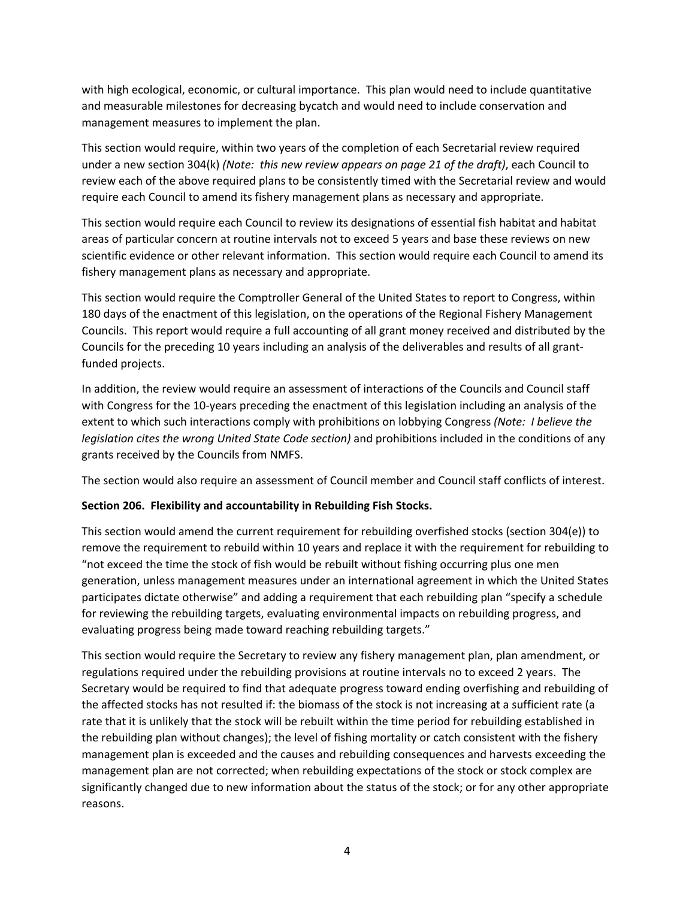with high ecological, economic, or cultural importance. This plan would need to include quantitative and measurable milestones for decreasing bycatch and would need to include conservation and management measures to implement the plan.

This section would require, within two years of the completion of each Secretarial review required under a new section 304(k) *(Note: this new review appears on page 21 of the draft)*, each Council to review each of the above required plans to be consistently timed with the Secretarial review and would require each Council to amend its fishery management plans as necessary and appropriate.

This section would require each Council to review its designations of essential fish habitat and habitat areas of particular concern at routine intervals not to exceed 5 years and base these reviews on new scientific evidence or other relevant information. This section would require each Council to amend its fishery management plans as necessary and appropriate.

This section would require the Comptroller General of the United States to report to Congress, within 180 days of the enactment of this legislation, on the operations of the Regional Fishery Management Councils. This report would require a full accounting of all grant money received and distributed by the Councils for the preceding 10 years including an analysis of the deliverables and results of all grantfunded projects.

In addition, the review would require an assessment of interactions of the Councils and Council staff with Congress for the 10-years preceding the enactment of this legislation including an analysis of the extent to which such interactions comply with prohibitions on lobbying Congress *(Note: I believe the legislation cites the wrong United State Code section)* and prohibitions included in the conditions of any grants received by the Councils from NMFS.

The section would also require an assessment of Council member and Council staff conflicts of interest.

# **Section 206. Flexibility and accountability in Rebuilding Fish Stocks.**

This section would amend the current requirement for rebuilding overfished stocks (section 304(e)) to remove the requirement to rebuild within 10 years and replace it with the requirement for rebuilding to "not exceed the time the stock of fish would be rebuilt without fishing occurring plus one men generation, unless management measures under an international agreement in which the United States participates dictate otherwise" and adding a requirement that each rebuilding plan "specify a schedule for reviewing the rebuilding targets, evaluating environmental impacts on rebuilding progress, and evaluating progress being made toward reaching rebuilding targets."

This section would require the Secretary to review any fishery management plan, plan amendment, or regulations required under the rebuilding provisions at routine intervals no to exceed 2 years. The Secretary would be required to find that adequate progress toward ending overfishing and rebuilding of the affected stocks has not resulted if: the biomass of the stock is not increasing at a sufficient rate (a rate that it is unlikely that the stock will be rebuilt within the time period for rebuilding established in the rebuilding plan without changes); the level of fishing mortality or catch consistent with the fishery management plan is exceeded and the causes and rebuilding consequences and harvests exceeding the management plan are not corrected; when rebuilding expectations of the stock or stock complex are significantly changed due to new information about the status of the stock; or for any other appropriate reasons.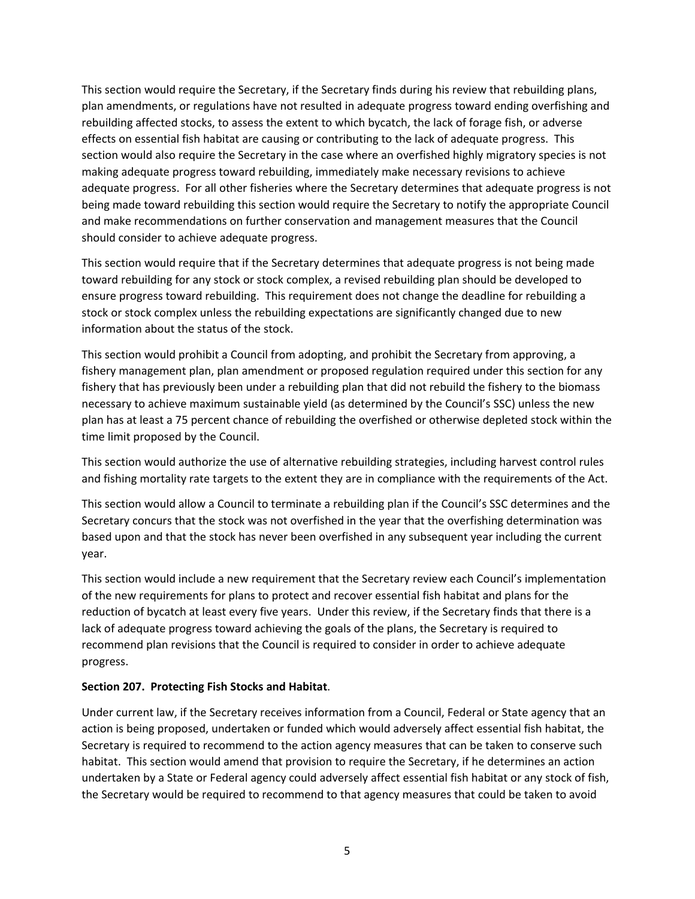This section would require the Secretary, if the Secretary finds during his review that rebuilding plans, plan amendments, or regulations have not resulted in adequate progress toward ending overfishing and rebuilding affected stocks, to assess the extent to which bycatch, the lack of forage fish, or adverse effects on essential fish habitat are causing or contributing to the lack of adequate progress. This section would also require the Secretary in the case where an overfished highly migratory species is not making adequate progress toward rebuilding, immediately make necessary revisions to achieve adequate progress. For all other fisheries where the Secretary determines that adequate progress is not being made toward rebuilding this section would require the Secretary to notify the appropriate Council and make recommendations on further conservation and management measures that the Council should consider to achieve adequate progress.

This section would require that if the Secretary determines that adequate progress is not being made toward rebuilding for any stock or stock complex, a revised rebuilding plan should be developed to ensure progress toward rebuilding. This requirement does not change the deadline for rebuilding a stock or stock complex unless the rebuilding expectations are significantly changed due to new information about the status of the stock.

This section would prohibit a Council from adopting, and prohibit the Secretary from approving, a fishery management plan, plan amendment or proposed regulation required under this section for any fishery that has previously been under a rebuilding plan that did not rebuild the fishery to the biomass necessary to achieve maximum sustainable yield (as determined by the Council's SSC) unless the new plan has at least a 75 percent chance of rebuilding the overfished or otherwise depleted stock within the time limit proposed by the Council.

This section would authorize the use of alternative rebuilding strategies, including harvest control rules and fishing mortality rate targets to the extent they are in compliance with the requirements of the Act.

This section would allow a Council to terminate a rebuilding plan if the Council's SSC determines and the Secretary concurs that the stock was not overfished in the year that the overfishing determination was based upon and that the stock has never been overfished in any subsequent year including the current year.

This section would include a new requirement that the Secretary review each Council's implementation of the new requirements for plans to protect and recover essential fish habitat and plans for the reduction of bycatch at least every five years. Under this review, if the Secretary finds that there is a lack of adequate progress toward achieving the goals of the plans, the Secretary is required to recommend plan revisions that the Council is required to consider in order to achieve adequate progress.

#### **Section 207. Protecting Fish Stocks and Habitat**.

Under current law, if the Secretary receives information from a Council, Federal or State agency that an action is being proposed, undertaken or funded which would adversely affect essential fish habitat, the Secretary is required to recommend to the action agency measures that can be taken to conserve such habitat. This section would amend that provision to require the Secretary, if he determines an action undertaken by a State or Federal agency could adversely affect essential fish habitat or any stock of fish, the Secretary would be required to recommend to that agency measures that could be taken to avoid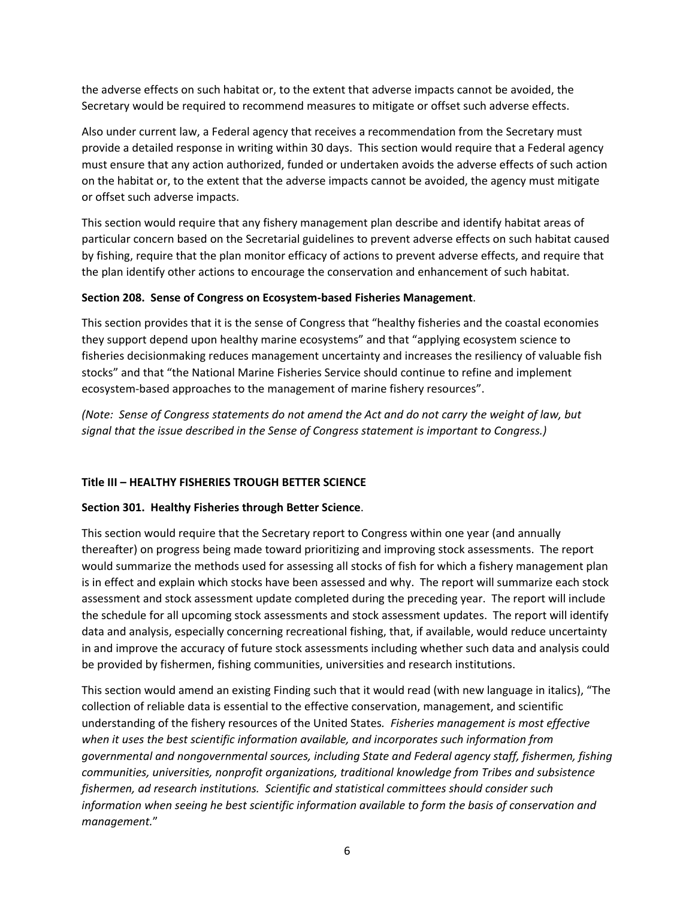the adverse effects on such habitat or, to the extent that adverse impacts cannot be avoided, the Secretary would be required to recommend measures to mitigate or offset such adverse effects.

Also under current law, a Federal agency that receives a recommendation from the Secretary must provide a detailed response in writing within 30 days. This section would require that a Federal agency must ensure that any action authorized, funded or undertaken avoids the adverse effects of such action on the habitat or, to the extent that the adverse impacts cannot be avoided, the agency must mitigate or offset such adverse impacts.

This section would require that any fishery management plan describe and identify habitat areas of particular concern based on the Secretarial guidelines to prevent adverse effects on such habitat caused by fishing, require that the plan monitor efficacy of actions to prevent adverse effects, and require that the plan identify other actions to encourage the conservation and enhancement of such habitat.

#### **Section 208. Sense of Congress on Ecosystem-based Fisheries Management**.

This section provides that it is the sense of Congress that "healthy fisheries and the coastal economies they support depend upon healthy marine ecosystems" and that "applying ecosystem science to fisheries decisionmaking reduces management uncertainty and increases the resiliency of valuable fish stocks" and that "the National Marine Fisheries Service should continue to refine and implement ecosystem-based approaches to the management of marine fishery resources".

*(Note: Sense of Congress statements do not amend the Act and do not carry the weight of law, but signal that the issue described in the Sense of Congress statement is important to Congress.)*

# **Title III – HEALTHY FISHERIES TROUGH BETTER SCIENCE**

#### **Section 301. Healthy Fisheries through Better Science**.

This section would require that the Secretary report to Congress within one year (and annually thereafter) on progress being made toward prioritizing and improving stock assessments. The report would summarize the methods used for assessing all stocks of fish for which a fishery management plan is in effect and explain which stocks have been assessed and why. The report will summarize each stock assessment and stock assessment update completed during the preceding year. The report will include the schedule for all upcoming stock assessments and stock assessment updates. The report will identify data and analysis, especially concerning recreational fishing, that, if available, would reduce uncertainty in and improve the accuracy of future stock assessments including whether such data and analysis could be provided by fishermen, fishing communities, universities and research institutions.

This section would amend an existing Finding such that it would read (with new language in italics), "The collection of reliable data is essential to the effective conservation, management, and scientific understanding of the fishery resources of the United States*. Fisheries management is most effective when it uses the best scientific information available, and incorporates such information from governmental and nongovernmental sources, including State and Federal agency staff, fishermen, fishing communities, universities, nonprofit organizations, traditional knowledge from Tribes and subsistence fishermen, ad research institutions. Scientific and statistical committees should consider such information when seeing he best scientific information available to form the basis of conservation and management.*"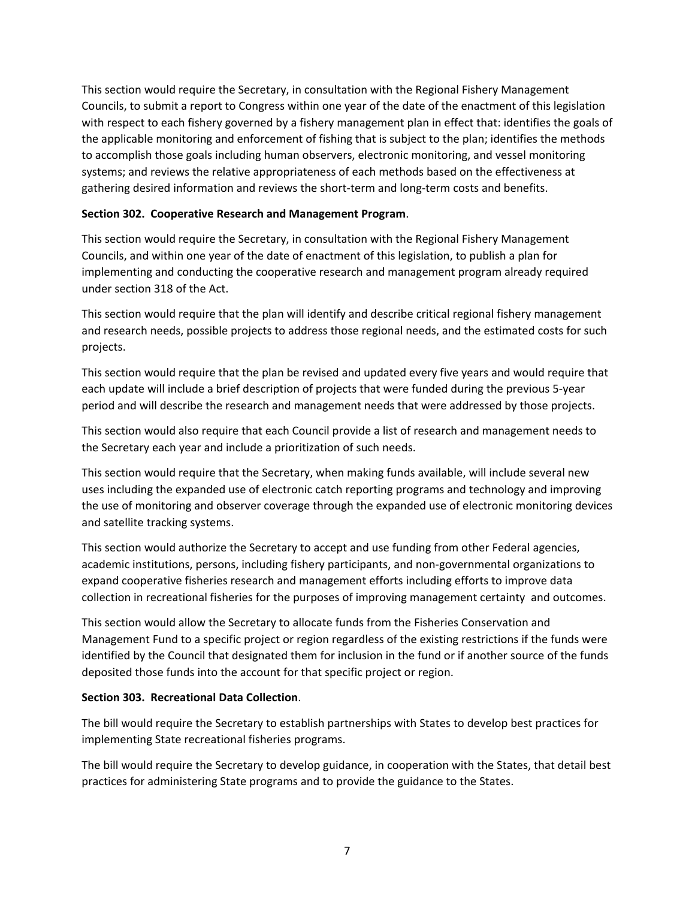This section would require the Secretary, in consultation with the Regional Fishery Management Councils, to submit a report to Congress within one year of the date of the enactment of this legislation with respect to each fishery governed by a fishery management plan in effect that: identifies the goals of the applicable monitoring and enforcement of fishing that is subject to the plan; identifies the methods to accomplish those goals including human observers, electronic monitoring, and vessel monitoring systems; and reviews the relative appropriateness of each methods based on the effectiveness at gathering desired information and reviews the short-term and long-term costs and benefits.

# **Section 302. Cooperative Research and Management Program**.

This section would require the Secretary, in consultation with the Regional Fishery Management Councils, and within one year of the date of enactment of this legislation, to publish a plan for implementing and conducting the cooperative research and management program already required under section 318 of the Act.

This section would require that the plan will identify and describe critical regional fishery management and research needs, possible projects to address those regional needs, and the estimated costs for such projects.

This section would require that the plan be revised and updated every five years and would require that each update will include a brief description of projects that were funded during the previous 5-year period and will describe the research and management needs that were addressed by those projects.

This section would also require that each Council provide a list of research and management needs to the Secretary each year and include a prioritization of such needs.

This section would require that the Secretary, when making funds available, will include several new uses including the expanded use of electronic catch reporting programs and technology and improving the use of monitoring and observer coverage through the expanded use of electronic monitoring devices and satellite tracking systems.

This section would authorize the Secretary to accept and use funding from other Federal agencies, academic institutions, persons, including fishery participants, and non-governmental organizations to expand cooperative fisheries research and management efforts including efforts to improve data collection in recreational fisheries for the purposes of improving management certainty and outcomes.

This section would allow the Secretary to allocate funds from the Fisheries Conservation and Management Fund to a specific project or region regardless of the existing restrictions if the funds were identified by the Council that designated them for inclusion in the fund or if another source of the funds deposited those funds into the account for that specific project or region.

#### **Section 303. Recreational Data Collection**.

The bill would require the Secretary to establish partnerships with States to develop best practices for implementing State recreational fisheries programs.

The bill would require the Secretary to develop guidance, in cooperation with the States, that detail best practices for administering State programs and to provide the guidance to the States.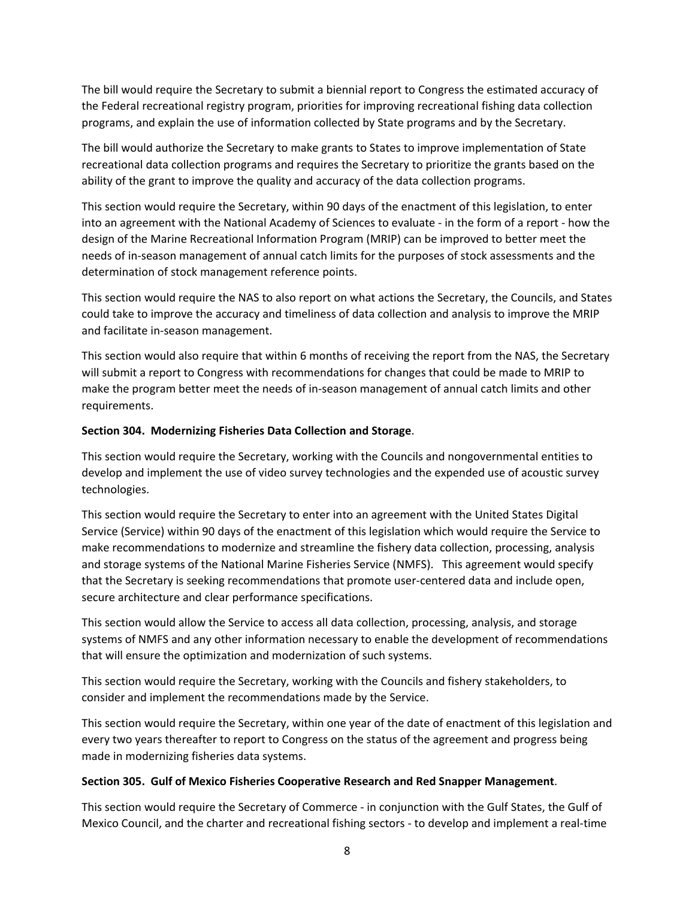The bill would require the Secretary to submit a biennial report to Congress the estimated accuracy of the Federal recreational registry program, priorities for improving recreational fishing data collection programs, and explain the use of information collected by State programs and by the Secretary.

The bill would authorize the Secretary to make grants to States to improve implementation of State recreational data collection programs and requires the Secretary to prioritize the grants based on the ability of the grant to improve the quality and accuracy of the data collection programs.

This section would require the Secretary, within 90 days of the enactment of this legislation, to enter into an agreement with the National Academy of Sciences to evaluate - in the form of a report - how the design of the Marine Recreational Information Program (MRIP) can be improved to better meet the needs of in-season management of annual catch limits for the purposes of stock assessments and the determination of stock management reference points.

This section would require the NAS to also report on what actions the Secretary, the Councils, and States could take to improve the accuracy and timeliness of data collection and analysis to improve the MRIP and facilitate in-season management.

This section would also require that within 6 months of receiving the report from the NAS, the Secretary will submit a report to Congress with recommendations for changes that could be made to MRIP to make the program better meet the needs of in-season management of annual catch limits and other requirements.

# **Section 304. Modernizing Fisheries Data Collection and Storage**.

This section would require the Secretary, working with the Councils and nongovernmental entities to develop and implement the use of video survey technologies and the expended use of acoustic survey technologies.

This section would require the Secretary to enter into an agreement with the United States Digital Service (Service) within 90 days of the enactment of this legislation which would require the Service to make recommendations to modernize and streamline the fishery data collection, processing, analysis and storage systems of the National Marine Fisheries Service (NMFS). This agreement would specify that the Secretary is seeking recommendations that promote user-centered data and include open, secure architecture and clear performance specifications.

This section would allow the Service to access all data collection, processing, analysis, and storage systems of NMFS and any other information necessary to enable the development of recommendations that will ensure the optimization and modernization of such systems.

This section would require the Secretary, working with the Councils and fishery stakeholders, to consider and implement the recommendations made by the Service.

This section would require the Secretary, within one year of the date of enactment of this legislation and every two years thereafter to report to Congress on the status of the agreement and progress being made in modernizing fisheries data systems.

# **Section 305. Gulf of Mexico Fisheries Cooperative Research and Red Snapper Management**.

This section would require the Secretary of Commerce - in conjunction with the Gulf States, the Gulf of Mexico Council, and the charter and recreational fishing sectors - to develop and implement a real-time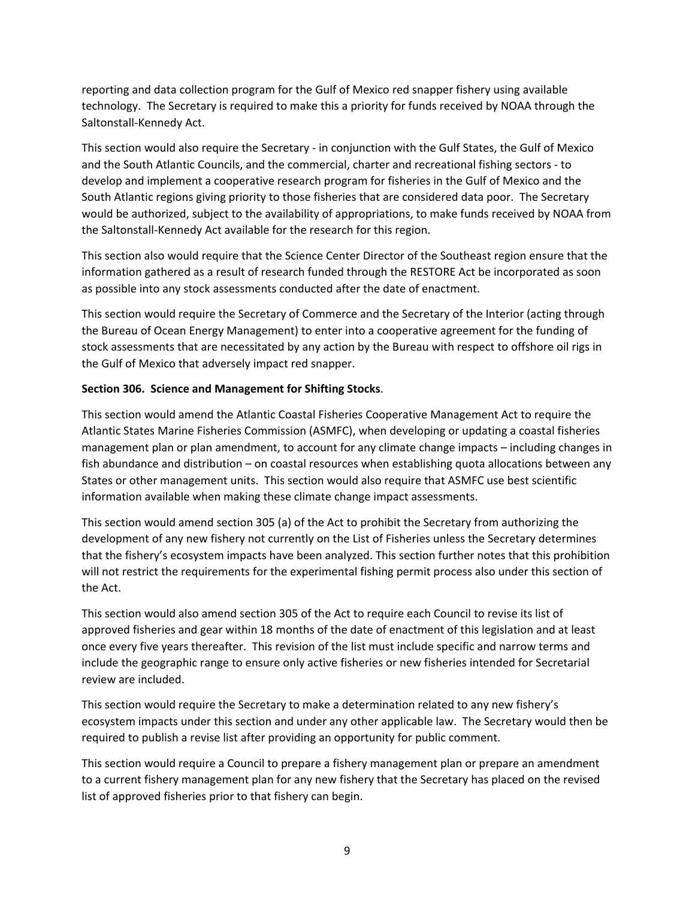reporting and data collection program for the Gulf of Mexico red snapper fishery using available technology. The Secretary is required to make this a priority for funds received by NOAA through the Saltonstall-Kennedy Act.

This section would also require the Secretary - in conjunction with the Gulf States, the Gulf of Mexico and the South Atlantic Councils, and the commercial, charter and recreational fishing sectors - to develop and implement a cooperative research program for fisheries in the Gulf of Mexico and the South Atlantic regions giving priority to those fisheries that are considered data poor. The Secretary would be authorized, subject to the availability of appropriations, to make funds received by NOAA from the Saltonstall-Kennedy Act available for the research for this region.

This section also would require that the Science Center Director of the Southeast region ensure that the information gathered as a result of research funded through the RESTORE Act be incorporated as soon as possible into any stock assessments conducted after the date of enactment.

This section would require the Secretary of Commerce and the Secretary of the Interior (acting through the Bureau of Ocean Energy Management) to enter into a cooperative agreement for the funding of stock assessments that are necessitated by any action by the Bureau with respect to offshore oil rigs in the Gulf of Mexico that adversely impact red snapper.

#### **Section 306. Science and Management for Shifting Stocks**.

This section would amend the Atlantic Coastal Fisheries Cooperative Management Act to require the Atlantic States Marine Fisheries Commission (ASMFC), when developing or updating a coastal fisheries management plan or plan amendment, to account for any climate change impacts – including changes in fish abundance and distribution – on coastal resources when establishing quota allocations between any States or other management units. This section would also require that ASMFC use best scientific information available when making these climate change impact assessments.

This section would amend section 305 (a) of the Act to prohibit the Secretary from authorizing the development of any new fishery not currently on the List of Fisheries unless the Secretary determines that the fishery's ecosystem impacts have been analyzed. This section further notes that this prohibition will not restrict the requirements for the experimental fishing permit process also under this section of the Act.

This section would also amend section 305 of the Act to require each Council to revise its list of approved fisheries and gear within 18 months of the date of enactment of this legislation and at least once every five years thereafter. This revision of the list must include specific and narrow terms and include the geographic range to ensure only active fisheries or new fisheries intended for Secretarial review are included.

This section would require the Secretary to make a determination related to any new fishery's ecosystem impacts under this section and under any other applicable law. The Secretary would then be required to publish a revise list after providing an opportunity for public comment.

This section would require a Council to prepare a fishery management plan or prepare an amendment to a current fishery management plan for any new fishery that the Secretary has placed on the revised list of approved fisheries prior to that fishery can begin.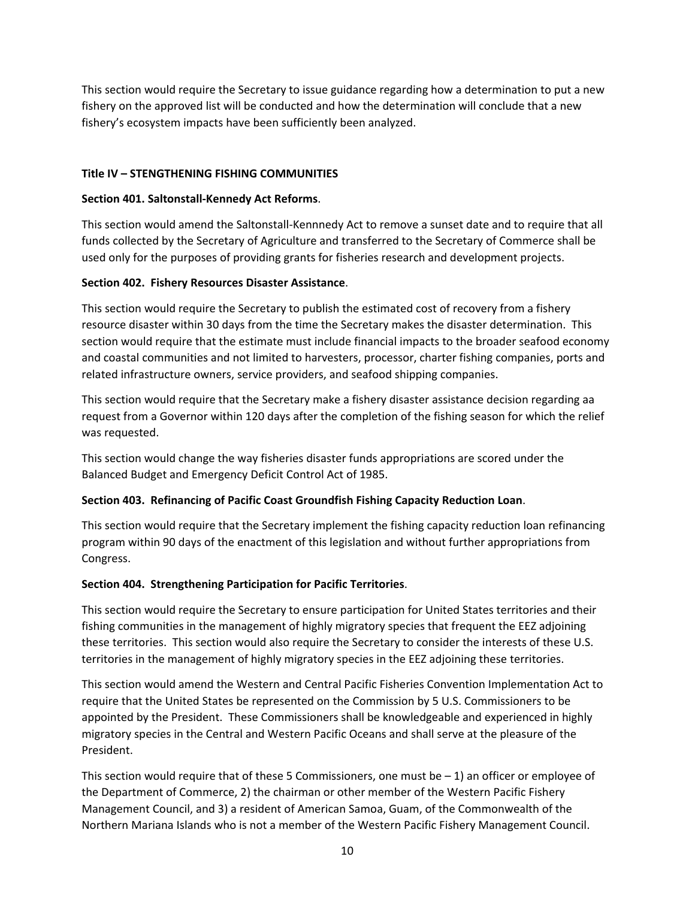This section would require the Secretary to issue guidance regarding how a determination to put a new fishery on the approved list will be conducted and how the determination will conclude that a new fishery's ecosystem impacts have been sufficiently been analyzed.

# **Title IV – STENGTHENING FISHING COMMUNITIES**

#### **Section 401. Saltonstall-Kennedy Act Reforms**.

This section would amend the Saltonstall-Kennnedy Act to remove a sunset date and to require that all funds collected by the Secretary of Agriculture and transferred to the Secretary of Commerce shall be used only for the purposes of providing grants for fisheries research and development projects.

#### **Section 402. Fishery Resources Disaster Assistance**.

This section would require the Secretary to publish the estimated cost of recovery from a fishery resource disaster within 30 days from the time the Secretary makes the disaster determination. This section would require that the estimate must include financial impacts to the broader seafood economy and coastal communities and not limited to harvesters, processor, charter fishing companies, ports and related infrastructure owners, service providers, and seafood shipping companies.

This section would require that the Secretary make a fishery disaster assistance decision regarding aa request from a Governor within 120 days after the completion of the fishing season for which the relief was requested.

This section would change the way fisheries disaster funds appropriations are scored under the Balanced Budget and Emergency Deficit Control Act of 1985.

# **Section 403. Refinancing of Pacific Coast Groundfish Fishing Capacity Reduction Loan**.

This section would require that the Secretary implement the fishing capacity reduction loan refinancing program within 90 days of the enactment of this legislation and without further appropriations from Congress.

# **Section 404. Strengthening Participation for Pacific Territories**.

This section would require the Secretary to ensure participation for United States territories and their fishing communities in the management of highly migratory species that frequent the EEZ adjoining these territories. This section would also require the Secretary to consider the interests of these U.S. territories in the management of highly migratory species in the EEZ adjoining these territories.

This section would amend the Western and Central Pacific Fisheries Convention Implementation Act to require that the United States be represented on the Commission by 5 U.S. Commissioners to be appointed by the President. These Commissioners shall be knowledgeable and experienced in highly migratory species in the Central and Western Pacific Oceans and shall serve at the pleasure of the President.

This section would require that of these 5 Commissioners, one must be  $-1$ ) an officer or employee of the Department of Commerce, 2) the chairman or other member of the Western Pacific Fishery Management Council, and 3) a resident of American Samoa, Guam, of the Commonwealth of the Northern Mariana Islands who is not a member of the Western Pacific Fishery Management Council.